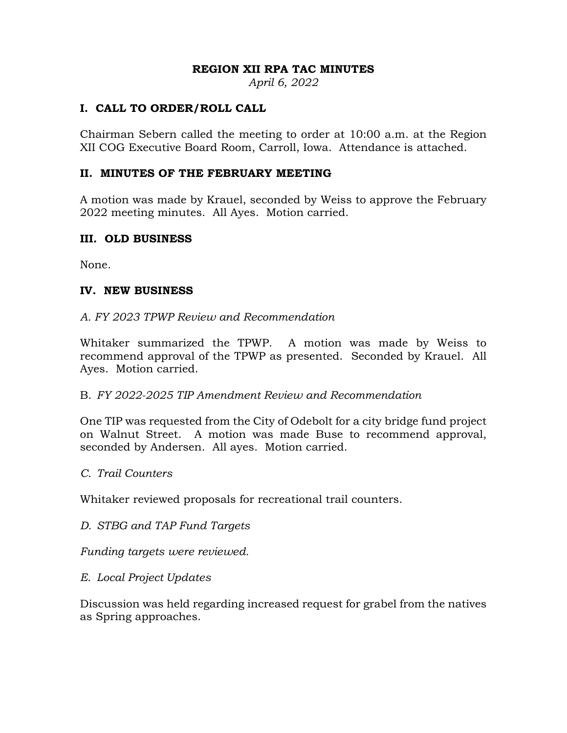#### **REGION XII RPA TAC MINUTES**

*April 6, 2022* 

## **I. CALL TO ORDER/ROLL CALL**

Chairman Sebern called the meeting to order at 10:00 a.m. at the Region XII COG Executive Board Room, Carroll, Iowa. Attendance is attached.

## **II. MINUTES OF THE FEBRUARY MEETING**

A motion was made by Krauel, seconded by Weiss to approve the February 2022 meeting minutes. All Ayes. Motion carried.

## **III. OLD BUSINESS**

None.

#### **IV. NEW BUSINESS**

#### *A. FY 2023 TPWP Review and Recommendation*

Whitaker summarized the TPWP. A motion was made by Weiss to recommend approval of the TPWP as presented. Seconded by Krauel. All Ayes. Motion carried.

## B. *FY 2022-2025 TIP Amendment Review and Recommendation*

One TIP was requested from the City of Odebolt for a city bridge fund project on Walnut Street. A motion was made Buse to recommend approval, seconded by Andersen. All ayes. Motion carried.

*C. Trail Counters* 

Whitaker reviewed proposals for recreational trail counters.

*D. STBG and TAP Fund Targets* 

*Funding targets were reviewed.* 

## *E. Local Project Updates*

Discussion was held regarding increased request for grabel from the natives as Spring approaches.